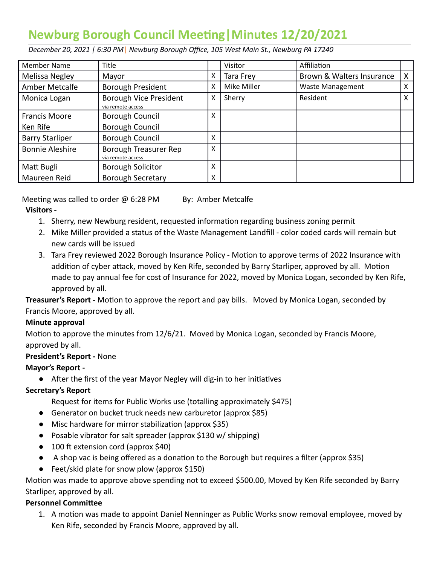# **Newburg Borough Council Meeng|Minutes 12/20/2021**

 *December 20, 2021 | 6:30 PM* | *Newburg Borough Office, 105 West Main St., Newburg PA 17240* 

| <b>Member Name</b>     | Title                                       |   | Visitor     | Affiliation               |   |
|------------------------|---------------------------------------------|---|-------------|---------------------------|---|
| Melissa Negley         | Mayor                                       | X | Tara Frey   | Brown & Walters Insurance | X |
| Amber Metcalfe         | Borough President                           | x | Mike Miller | <b>Waste Management</b>   | X |
| Monica Logan           | Borough Vice President<br>via remote access | X | Sherry      | Resident                  | X |
| <b>Francis Moore</b>   | <b>Borough Council</b>                      | x |             |                           |   |
| Ken Rife               | <b>Borough Council</b>                      |   |             |                           |   |
| <b>Barry Starliper</b> | Borough Council                             | X |             |                           |   |
| <b>Bonnie Aleshire</b> | Borough Treasurer Rep<br>via remote access  | X |             |                           |   |
| Matt Bugli             | <b>Borough Solicitor</b>                    | X |             |                           |   |
| Maureen Reid           | <b>Borough Secretary</b>                    | X |             |                           |   |

Meeting was called to order  $@6:28$  PM By: Amber Metcalfe  **Visitors -** 

- 1. Sherry, new Newburg resident, requested information regarding business zoning permit
- 2. Mike Miller provided a status of the Waste Management Landfill color coded cards will remain but new cards will be issued
- 3. Tara Frey reviewed 2022 Borough Insurance Policy Motion to approve terms of 2022 Insurance with addition of cyber attack, moved by Ken Rife, seconded by Barry Starliper, approved by all. Motion made to pay annual fee for cost of Insurance for 2022, moved by Monica Logan, seconded by Ken Rife, approved by all.

**Treasurer's Report -** Motion to approve the report and pay bills. Moved by Monica Logan, seconded by Francis Moore, approved by all.

### **Minute approval**

Motion to approve the minutes from  $12/6/21$ . Moved by Monica Logan, seconded by Francis Moore, approved by all.

# **President's Report -** None

# **Mayor's Report -**

 $\bullet$  After the first of the year Mayor Negley will dig-in to her initiatives

# **Secretary's Report**

- Request for items for Public Works use (totalling approximately \$475)
- Generator on bucket truck needs new carburetor (approx \$85)
- Misc hardware for mirror stabilization (approx \$35)
- Posable vibrator for salt spreader (approx \$130 w/ shipping)
- $\bullet$  100 ft extension cord (approx \$40)
- $\bullet$  A shop vac is being offered as a donation to the Borough but requires a filter (approx \$35)
- Feet/skid plate for snow plow (approx \$150)

Motion was made to approve above spending not to exceed \$500.00, Moved by Ken Rife seconded by Barry Starliper, approved by all.

### **Personnel Committee**

1. A motion was made to appoint Daniel Nenninger as Public Works snow removal employee, moved by Ken Rife, seconded by Francis Moore, approved by all.